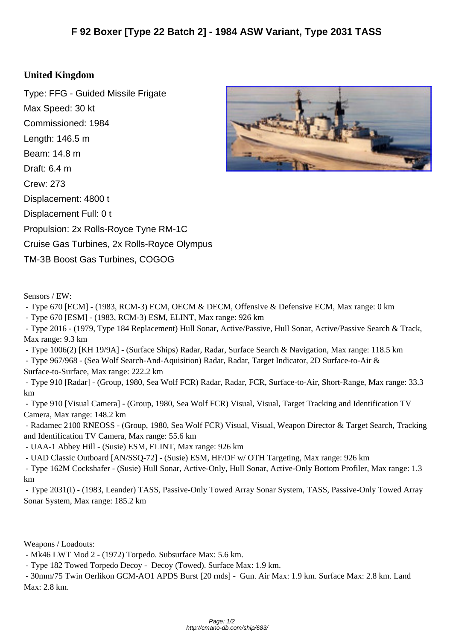## **United Kin[gdom](http://cmano-db.com/ship/683/)**

Type: FFG - Guided Missile Frigate Max Speed: 30 kt Commissioned: 1984 Length: 146.5 m Beam: 14.8 m Draft: 6.4 m Crew: 273 Displacement: 4800 t Displacement Full: 0 t Propulsion: 2x Rolls-Royce Tyne RM-1C Cruise Gas Turbines, 2x Rolls-Royce Olympus TM-3B Boost Gas Turbines, COGOG



- Type 670 [ECM] - (1983, RCM-3) ECM, OECM & DECM, Offensive & Defensive ECM, Max range: 0 km

- Type 670 [ESM] - (1983, RCM-3) ESM, ELINT, Max range: 926 km

 - Type 2016 - (1979, Type 184 Replacement) Hull Sonar, Active/Passive, Hull Sonar, Active/Passive Search & Track, Max range: 9.3 km

- Type 1006(2) [KH 19/9A] - (Surface Ships) Radar, Radar, Surface Search & Navigation, Max range: 118.5 km

 - Type 967/968 - (Sea Wolf Search-And-Aquisition) Radar, Radar, Target Indicator, 2D Surface-to-Air & Surface-to-Surface, Max range: 222.2 km

 - Type 910 [Radar] - (Group, 1980, Sea Wolf FCR) Radar, Radar, FCR, Surface-to-Air, Short-Range, Max range: 33.3 km

 - Type 910 [Visual Camera] - (Group, 1980, Sea Wolf FCR) Visual, Visual, Target Tracking and Identification TV Camera, Max range: 148.2 km

 - Radamec 2100 RNEOSS - (Group, 1980, Sea Wolf FCR) Visual, Visual, Weapon Director & Target Search, Tracking and Identification TV Camera, Max range: 55.6 km

- UAA-1 Abbey Hill - (Susie) ESM, ELINT, Max range: 926 km

- UAD Classic Outboard [AN/SSQ-72] - (Susie) ESM, HF/DF w/ OTH Targeting, Max range: 926 km

 - Type 162M Cockshafer - (Susie) Hull Sonar, Active-Only, Hull Sonar, Active-Only Bottom Profiler, Max range: 1.3 km

 - Type 2031(I) - (1983, Leander) TASS, Passive-Only Towed Array Sonar System, TASS, Passive-Only Towed Array Sonar System, Max range: 185.2 km

Weapons / Loadouts:



 <sup>-</sup> Mk46 LWT Mod 2 - (1972) Torpedo. Subsurface Max: 5.6 km.

 <sup>-</sup> Type 182 Towed Torpedo Decoy - Decoy (Towed). Surface Max: 1.9 km.

 <sup>- 30</sup>mm/75 Twin Oerlikon GCM-AO1 APDS Burst [20 rnds] - Gun. Air Max: 1.9 km. Surface Max: 2.8 km. Land Max: 2.8 km.